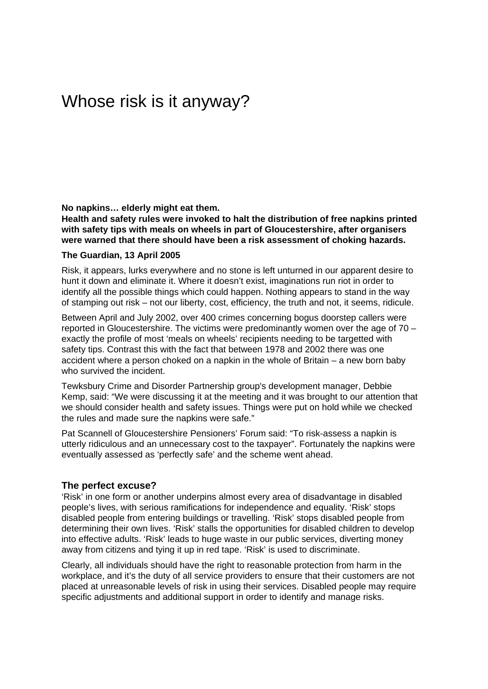# Whose risk is it anyway?

#### **No napkins… elderly might eat them.**

**Health and safety rules were invoked to halt the distribution of free napkins printed with safety tips with meals on wheels in part of Gloucestershire, after organisers were warned that there should have been a risk assessment of choking hazards.** 

#### **The Guardian, 13 April 2005**

Risk, it appears, lurks everywhere and no stone is left unturned in our apparent desire to hunt it down and eliminate it. Where it doesn't exist, imaginations run riot in order to identify all the possible things which could happen. Nothing appears to stand in the way of stamping out risk – not our liberty, cost, efficiency, the truth and not, it seems, ridicule.

Between April and July 2002, over 400 crimes concerning bogus doorstep callers were reported in Gloucestershire. The victims were predominantly women over the age of 70 – exactly the profile of most 'meals on wheels' recipients needing to be targetted with safety tips. Contrast this with the fact that between 1978 and 2002 there was one accident where a person choked on a napkin in the whole of Britain – a new born baby who survived the incident.

Tewksbury Crime and Disorder Partnership group's development manager, Debbie Kemp, said: "We were discussing it at the meeting and it was brought to our attention that we should consider health and safety issues. Things were put on hold while we checked the rules and made sure the napkins were safe."

Pat Scannell of Gloucestershire Pensioners' Forum said: "To risk-assess a napkin is utterly ridiculous and an unnecessary cost to the taxpayer". Fortunately the napkins were eventually assessed as 'perfectly safe' and the scheme went ahead.

# **The perfect excuse?**

'Risk' in one form or another underpins almost every area of disadvantage in disabled people's lives, with serious ramifications for independence and equality. 'Risk' stops disabled people from entering buildings or travelling. 'Risk' stops disabled people from determining their own lives. 'Risk' stalls the opportunities for disabled children to develop into effective adults. 'Risk' leads to huge waste in our public services, diverting money away from citizens and tying it up in red tape. 'Risk' is used to discriminate.

Clearly, all individuals should have the right to reasonable protection from harm in the workplace, and it's the duty of all service providers to ensure that their customers are not placed at unreasonable levels of risk in using their services. Disabled people may require specific adjustments and additional support in order to identify and manage risks.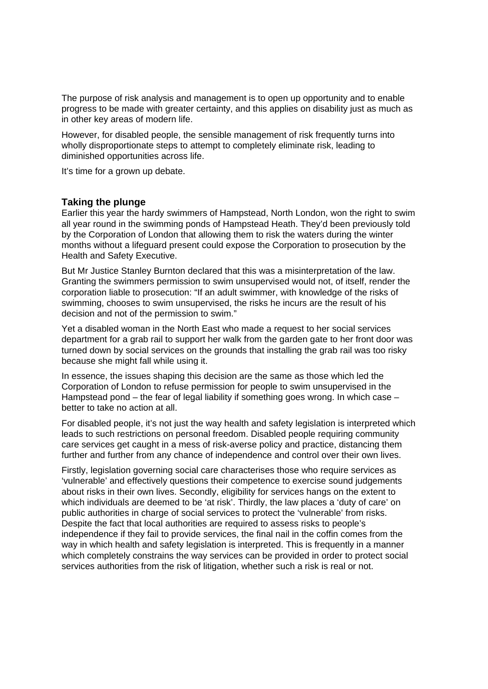The purpose of risk analysis and management is to open up opportunity and to enable progress to be made with greater certainty, and this applies on disability just as much as in other key areas of modern life.

However, for disabled people, the sensible management of risk frequently turns into wholly disproportionate steps to attempt to completely eliminate risk, leading to diminished opportunities across life.

It's time for a grown up debate.

#### **Taking the plunge**

Earlier this year the hardy swimmers of Hampstead, North London, won the right to swim all year round in the swimming ponds of Hampstead Heath. They'd been previously told by the Corporation of London that allowing them to risk the waters during the winter months without a lifeguard present could expose the Corporation to prosecution by the Health and Safety Executive.

But Mr Justice Stanley Burnton declared that this was a misinterpretation of the law. Granting the swimmers permission to swim unsupervised would not, of itself, render the corporation liable to prosecution: "If an adult swimmer, with knowledge of the risks of swimming, chooses to swim unsupervised, the risks he incurs are the result of his decision and not of the permission to swim."

Yet a disabled woman in the North East who made a request to her social services department for a grab rail to support her walk from the garden gate to her front door was turned down by social services on the grounds that installing the grab rail was too risky because she might fall while using it.

In essence, the issues shaping this decision are the same as those which led the Corporation of London to refuse permission for people to swim unsupervised in the Hampstead pond – the fear of legal liability if something goes wrong. In which case – better to take no action at all.

For disabled people, it's not just the way health and safety legislation is interpreted which leads to such restrictions on personal freedom. Disabled people requiring community care services get caught in a mess of risk-averse policy and practice, distancing them further and further from any chance of independence and control over their own lives.

Firstly, legislation governing social care characterises those who require services as 'vulnerable' and effectively questions their competence to exercise sound judgements about risks in their own lives. Secondly, eligibility for services hangs on the extent to which individuals are deemed to be 'at risk'. Thirdly, the law places a 'duty of care' on public authorities in charge of social services to protect the 'vulnerable' from risks. Despite the fact that local authorities are required to assess risks to people's independence if they fail to provide services, the final nail in the coffin comes from the way in which health and safety legislation is interpreted. This is frequently in a manner which completely constrains the way services can be provided in order to protect social services authorities from the risk of litigation, whether such a risk is real or not.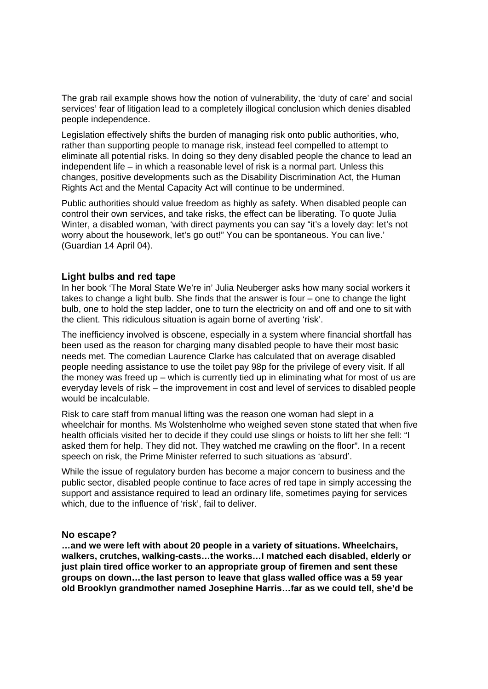The grab rail example shows how the notion of vulnerability, the 'duty of care' and social services' fear of litigation lead to a completely illogical conclusion which denies disabled people independence.

Legislation effectively shifts the burden of managing risk onto public authorities, who, rather than supporting people to manage risk, instead feel compelled to attempt to eliminate all potential risks. In doing so they deny disabled people the chance to lead an independent life – in which a reasonable level of risk is a normal part. Unless this changes, positive developments such as the Disability Discrimination Act, the Human Rights Act and the Mental Capacity Act will continue to be undermined.

Public authorities should value freedom as highly as safety. When disabled people can control their own services, and take risks, the effect can be liberating. To quote Julia Winter, a disabled woman, 'with direct payments you can say "it's a lovely day: let's not worry about the housework, let's go out!" You can be spontaneous. You can live.' (Guardian 14 April 04).

# **Light bulbs and red tape**

In her book 'The Moral State We're in' Julia Neuberger asks how many social workers it takes to change a light bulb. She finds that the answer is four – one to change the light bulb, one to hold the step ladder, one to turn the electricity on and off and one to sit with the client. This ridiculous situation is again borne of averting 'risk'.

The inefficiency involved is obscene, especially in a system where financial shortfall has been used as the reason for charging many disabled people to have their most basic needs met. The comedian Laurence Clarke has calculated that on average disabled people needing assistance to use the toilet pay 98p for the privilege of every visit. If all the money was freed up – which is currently tied up in eliminating what for most of us are everyday levels of risk – the improvement in cost and level of services to disabled people would be incalculable.

Risk to care staff from manual lifting was the reason one woman had slept in a wheelchair for months. Ms Wolstenholme who weighed seven stone stated that when five health officials visited her to decide if they could use slings or hoists to lift her she fell: "I asked them for help. They did not. They watched me crawling on the floor". In a recent speech on risk, the Prime Minister referred to such situations as 'absurd'.

While the issue of regulatory burden has become a major concern to business and the public sector, disabled people continue to face acres of red tape in simply accessing the support and assistance required to lead an ordinary life, sometimes paying for services which, due to the influence of 'risk', fail to deliver.

# **No escape?**

**…and we were left with about 20 people in a variety of situations. Wheelchairs, walkers, crutches, walking-casts…the works…I matched each disabled, elderly or just plain tired office worker to an appropriate group of firemen and sent these groups on down…the last person to leave that glass walled office was a 59 year old Brooklyn grandmother named Josephine Harris…far as we could tell, she'd be**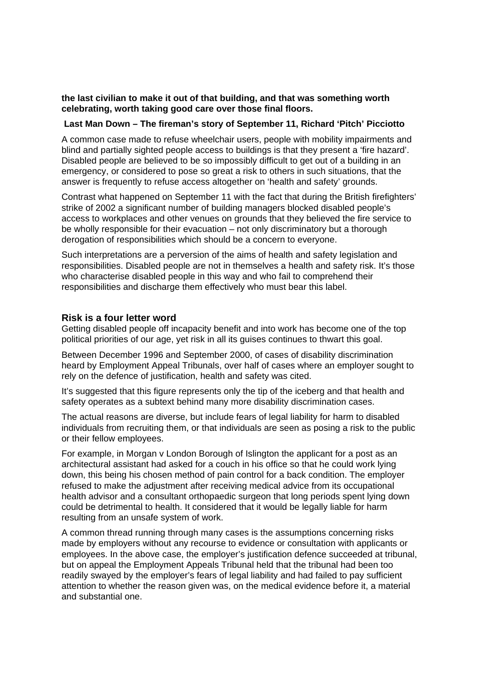# **the last civilian to make it out of that building, and that was something worth celebrating, worth taking good care over those final floors.**

#### **Last Man Down – The fireman's story of September 11, Richard 'Pitch' Picciotto**

A common case made to refuse wheelchair users, people with mobility impairments and blind and partially sighted people access to buildings is that they present a 'fire hazard'. Disabled people are believed to be so impossibly difficult to get out of a building in an emergency, or considered to pose so great a risk to others in such situations, that the answer is frequently to refuse access altogether on 'health and safety' grounds.

Contrast what happened on September 11 with the fact that during the British firefighters' strike of 2002 a significant number of building managers blocked disabled people's access to workplaces and other venues on grounds that they believed the fire service to be wholly responsible for their evacuation – not only discriminatory but a thorough derogation of responsibilities which should be a concern to everyone.

Such interpretations are a perversion of the aims of health and safety legislation and responsibilities. Disabled people are not in themselves a health and safety risk. It's those who characterise disabled people in this way and who fail to comprehend their responsibilities and discharge them effectively who must bear this label.

#### **Risk is a four letter word**

Getting disabled people off incapacity benefit and into work has become one of the top political priorities of our age, yet risk in all its guises continues to thwart this goal.

Between December 1996 and September 2000, of cases of disability discrimination heard by Employment Appeal Tribunals, over half of cases where an employer sought to rely on the defence of justification, health and safety was cited.

It's suggested that this figure represents only the tip of the iceberg and that health and safety operates as a subtext behind many more disability discrimination cases.

The actual reasons are diverse, but include fears of legal liability for harm to disabled individuals from recruiting them, or that individuals are seen as posing a risk to the public or their fellow employees.

For example, in Morgan v London Borough of Islington the applicant for a post as an architectural assistant had asked for a couch in his office so that he could work lying down, this being his chosen method of pain control for a back condition. The employer refused to make the adjustment after receiving medical advice from its occupational health advisor and a consultant orthopaedic surgeon that long periods spent lying down could be detrimental to health. It considered that it would be legally liable for harm resulting from an unsafe system of work.

A common thread running through many cases is the assumptions concerning risks made by employers without any recourse to evidence or consultation with applicants or employees. In the above case, the employer's justification defence succeeded at tribunal, but on appeal the Employment Appeals Tribunal held that the tribunal had been too readily swayed by the employer's fears of legal liability and had failed to pay sufficient attention to whether the reason given was, on the medical evidence before it, a material and substantial one.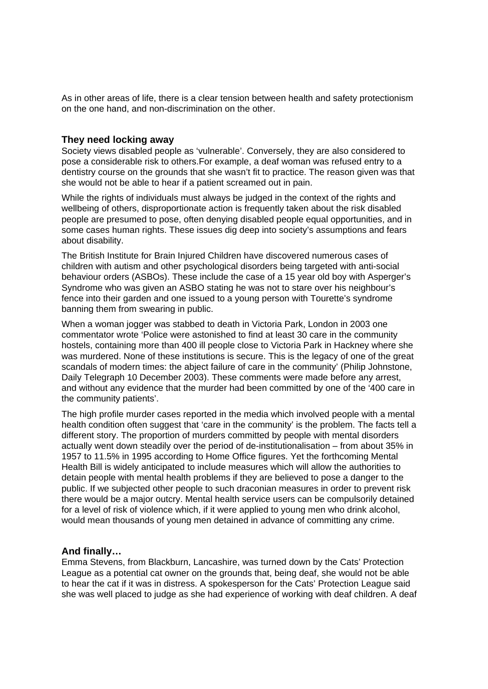As in other areas of life, there is a clear tension between health and safety protectionism on the one hand, and non-discrimination on the other.

## **They need locking away**

Society views disabled people as 'vulnerable'. Conversely, they are also considered to pose a considerable risk to others.For example, a deaf woman was refused entry to a dentistry course on the grounds that she wasn't fit to practice. The reason given was that she would not be able to hear if a patient screamed out in pain.

While the rights of individuals must always be judged in the context of the rights and wellbeing of others, disproportionate action is frequently taken about the risk disabled people are presumed to pose, often denying disabled people equal opportunities, and in some cases human rights. These issues dig deep into society's assumptions and fears about disability.

The British Institute for Brain Injured Children have discovered numerous cases of children with autism and other psychological disorders being targeted with anti-social behaviour orders (ASBOs). These include the case of a 15 year old boy with Asperger's Syndrome who was given an ASBO stating he was not to stare over his neighbour's fence into their garden and one issued to a young person with Tourette's syndrome banning them from swearing in public.

When a woman jogger was stabbed to death in Victoria Park, London in 2003 one commentator wrote 'Police were astonished to find at least 30 care in the community hostels, containing more than 400 ill people close to Victoria Park in Hackney where she was murdered. None of these institutions is secure. This is the legacy of one of the great scandals of modern times: the abject failure of care in the community' (Philip Johnstone, Daily Telegraph 10 December 2003). These comments were made before any arrest, and without any evidence that the murder had been committed by one of the '400 care in the community patients'.

The high profile murder cases reported in the media which involved people with a mental health condition often suggest that 'care in the community' is the problem. The facts tell a different story. The proportion of murders committed by people with mental disorders actually went down steadily over the period of de-institutionalisation – from about 35% in 1957 to 11.5% in 1995 according to Home Office figures. Yet the forthcoming Mental Health Bill is widely anticipated to include measures which will allow the authorities to detain people with mental health problems if they are believed to pose a danger to the public. If we subjected other people to such draconian measures in order to prevent risk there would be a major outcry. Mental health service users can be compulsorily detained for a level of risk of violence which, if it were applied to young men who drink alcohol, would mean thousands of young men detained in advance of committing any crime.

#### **And finally…**

Emma Stevens, from Blackburn, Lancashire, was turned down by the Cats' Protection League as a potential cat owner on the grounds that, being deaf, she would not be able to hear the cat if it was in distress. A spokesperson for the Cats' Protection League said she was well placed to judge as she had experience of working with deaf children. A deaf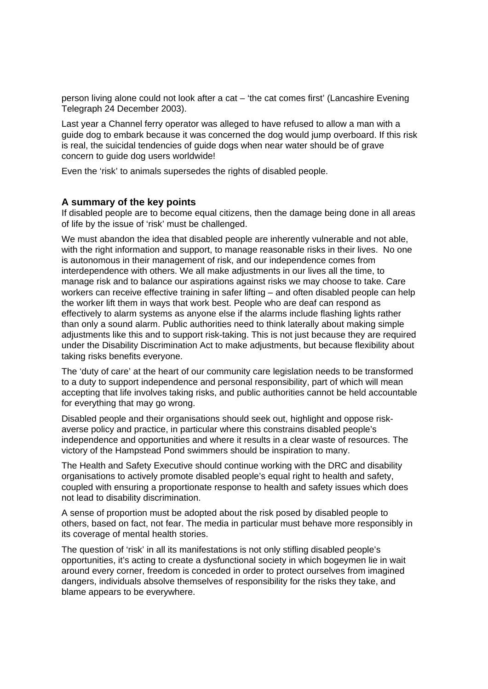person living alone could not look after a cat – 'the cat comes first' (Lancashire Evening Telegraph 24 December 2003).

Last year a Channel ferry operator was alleged to have refused to allow a man with a guide dog to embark because it was concerned the dog would jump overboard. If this risk is real, the suicidal tendencies of guide dogs when near water should be of grave concern to guide dog users worldwide!

Even the 'risk' to animals supersedes the rights of disabled people.

#### **A summary of the key points**

If disabled people are to become equal citizens, then the damage being done in all areas of life by the issue of 'risk' must be challenged.

We must abandon the idea that disabled people are inherently vulnerable and not able, with the right information and support, to manage reasonable risks in their lives. No one is autonomous in their management of risk, and our independence comes from interdependence with others. We all make adjustments in our lives all the time, to manage risk and to balance our aspirations against risks we may choose to take. Care workers can receive effective training in safer lifting – and often disabled people can help the worker lift them in ways that work best. People who are deaf can respond as effectively to alarm systems as anyone else if the alarms include flashing lights rather than only a sound alarm. Public authorities need to think laterally about making simple adjustments like this and to support risk-taking. This is not just because they are required under the Disability Discrimination Act to make adjustments, but because flexibility about taking risks benefits everyone.

The 'duty of care' at the heart of our community care legislation needs to be transformed to a duty to support independence and personal responsibility, part of which will mean accepting that life involves taking risks, and public authorities cannot be held accountable for everything that may go wrong.

Disabled people and their organisations should seek out, highlight and oppose riskaverse policy and practice, in particular where this constrains disabled people's independence and opportunities and where it results in a clear waste of resources. The victory of the Hampstead Pond swimmers should be inspiration to many.

The Health and Safety Executive should continue working with the DRC and disability organisations to actively promote disabled people's equal right to health and safety, coupled with ensuring a proportionate response to health and safety issues which does not lead to disability discrimination.

A sense of proportion must be adopted about the risk posed by disabled people to others, based on fact, not fear. The media in particular must behave more responsibly in its coverage of mental health stories.

The question of 'risk' in all its manifestations is not only stifling disabled people's opportunities, it's acting to create a dysfunctional society in which bogeymen lie in wait around every corner, freedom is conceded in order to protect ourselves from imagined dangers, individuals absolve themselves of responsibility for the risks they take, and blame appears to be everywhere.